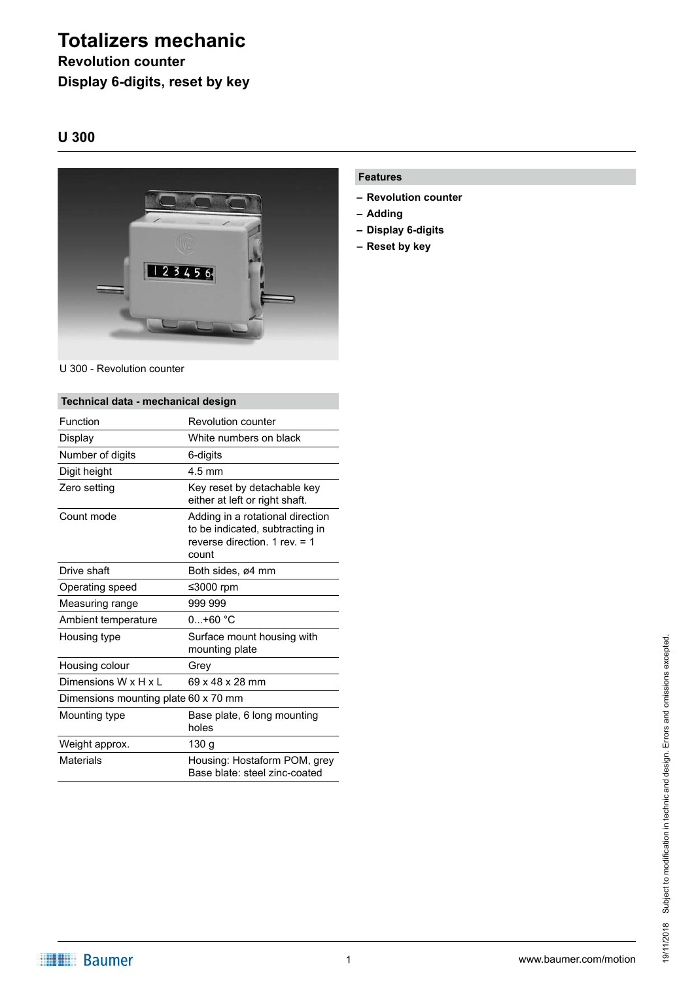# **Totalizers mechanic**

## **Revolution counter Display 6-digits, reset by key**

### **U 300**



#### U 300 - Revolution counter

| Technical data - mechanical design   |                                                                                                                 |
|--------------------------------------|-----------------------------------------------------------------------------------------------------------------|
| Function                             | Revolution counter                                                                                              |
| Display                              | White numbers on black                                                                                          |
| Number of digits                     | 6-digits                                                                                                        |
| Digit height                         | $4.5 \text{ mm}$                                                                                                |
| Zero setting                         | Key reset by detachable key<br>either at left or right shaft.                                                   |
| Count mode                           | Adding in a rotational direction<br>to be indicated, subtracting in<br>reverse direction. 1 rev. $=$ 1<br>count |
| Drive shaft                          | Both sides, ø4 mm                                                                                               |
| Operating speed                      | ≤3000 rpm                                                                                                       |
| Measuring range                      | 999 999                                                                                                         |
| Ambient temperature                  | $0+60 °C$                                                                                                       |
| Housing type                         | Surface mount housing with<br>mounting plate                                                                    |
| Housing colour                       | Grev                                                                                                            |
| Dimensions W x H x L                 | 69 x 48 x 28 mm                                                                                                 |
| Dimensions mounting plate 60 x 70 mm |                                                                                                                 |
| Mounting type                        | Base plate, 6 long mounting<br>holes                                                                            |
| Weight approx.                       | 130 g                                                                                                           |
| <b>Materials</b>                     | Housing: Hostaform POM, grey<br>Base blate: steel zinc-coated                                                   |

#### **Features**

- **– Revolution counter**
- **– Adding**
- **– Display 6-digits**
- **– Reset by key**